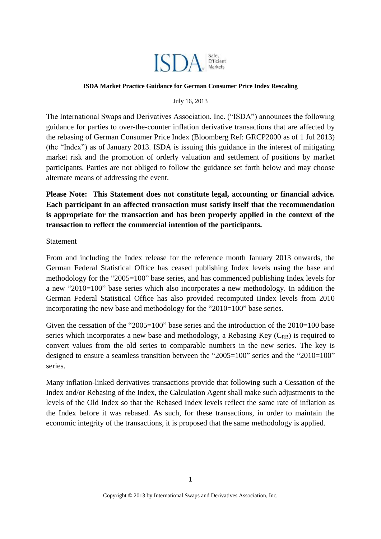

## **ISDA Market Practice Guidance for German Consumer Price Index Rescaling**

## July 16, 2013

The International Swaps and Derivatives Association, Inc. ("ISDA") announces the following guidance for parties to over-the-counter inflation derivative transactions that are affected by the rebasing of German Consumer Price Index (Bloomberg Ref: GRCP2000 as of 1 Jul 2013) (the "Index") as of January 2013. ISDA is issuing this guidance in the interest of mitigating market risk and the promotion of orderly valuation and settlement of positions by market participants. Parties are not obliged to follow the guidance set forth below and may choose alternate means of addressing the event.

**Please Note: This Statement does not constitute legal, accounting or financial advice. Each participant in an affected transaction must satisfy itself that the recommendation is appropriate for the transaction and has been properly applied in the context of the transaction to reflect the commercial intention of the participants.**

## Statement

From and including the Index release for the reference month January 2013 onwards, the German Federal Statistical Office has ceased publishing Index levels using the base and methodology for the "2005=100" base series, and has commenced publishing Index levels for a new "2010=100" base series which also incorporates a new methodology. In addition the German Federal Statistical Office has also provided recomputed iIndex levels from 2010 incorporating the new base and methodology for the "2010=100" base series.

Given the cessation of the "2005=100" base series and the introduction of the 2010=100 base series which incorporates a new base and methodology, a Rebasing Key  $(C_{RB})$  is required to convert values from the old series to comparable numbers in the new series. The key is designed to ensure a seamless transition between the "2005=100" series and the "2010=100" series.

Many inflation-linked derivatives transactions provide that following such a Cessation of the Index and/or Rebasing of the Index, the Calculation Agent shall make such adjustments to the levels of the Old Index so that the Rebased Index levels reflect the same rate of inflation as the Index before it was rebased. As such, for these transactions, in order to maintain the economic integrity of the transactions, it is proposed that the same methodology is applied.